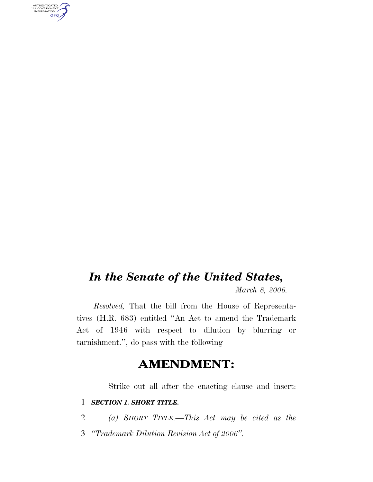AUTHENTICATED<br>U.S. GOVERNMENT<br>INFORMATION **GPO** 

## *In the Senate of the United States,*

*March 8, 2006.*

*Resolved,* That the bill from the House of Representatives (H.R. 683) entitled ''An Act to amend the Trademark Act of 1946 with respect to dilution by blurring or tarnishment.'', do pass with the following

## **AMENDMENT:**

Strike out all after the enacting clause and insert:

## 1 *SECTION 1. SHORT TITLE.*

2 *(a) SHORT TITLE.—This Act may be cited as the*

3 *''Trademark Dilution Revision Act of 2006''.*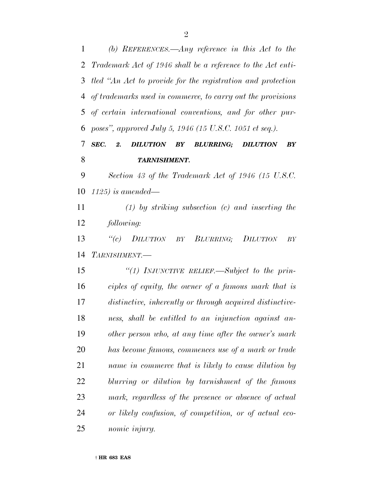*(b) REFERENCES.—Any reference in this Act to the Trademark Act of 1946 shall be a reference to the Act enti- tled ''An Act to provide for the registration and protection of trademarks used in commerce, to carry out the provisions of certain international conventions, and for other pur-poses'', approved July 5, 1946 (15 U.S.C. 1051 et seq.).*

## *SEC. 2. DILUTION BY BLURRING; DILUTION BY TARNISHMENT.*

 *Section 43 of the Trademark Act of 1946 (15 U.S.C. 1125) is amended—*

 *(1) by striking subsection (c) and inserting the following:*

 *''(c) DILUTION BY BLURRING; DILUTION BY TARNISHMENT.—*

 *''(1) INJUNCTIVE RELIEF.—Subject to the prin- ciples of equity, the owner of a famous mark that is distinctive, inherently or through acquired distinctive- ness, shall be entitled to an injunction against an- other person who, at any time after the owner's mark has become famous, commences use of a mark or trade name in commerce that is likely to cause dilution by blurring or dilution by tarnishment of the famous mark, regardless of the presence or absence of actual or likely confusion, of competition, or of actual eco-nomic injury.*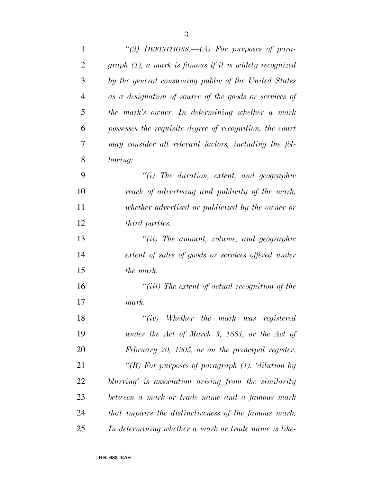| $\mathbf{1}$   | "(2) DEFINITIONS. $-A$ ) For purposes of para-            |
|----------------|-----------------------------------------------------------|
| $\overline{2}$ | $graph (1)$ , a mark is famous if it is widely recognized |
| 3              | by the general consuming public of the United States      |
| 4              | as a designation of source of the goods or services of    |
| 5              | the mark's owner. In determining whether a mark           |
| 6              | possesses the requisite degree of recognition, the court  |
| 7              | may consider all relevant factors, including the fol-     |
| 8              | lowing:                                                   |
| 9              | $"(i)$ The duration, extent, and geographic               |
| 10             | reach of advertising and publicity of the mark,           |
| 11             | whether advertised or publicized by the owner or          |
| 12             | <i>third parties.</i>                                     |
| 13             | $``(ii)$ The amount, volume, and geographic               |
| 14             | extent of sales of goods or services offered under        |
| 15             | the mark.                                                 |
| 16             | "(iii) The extent of actual recognition of the            |
| 17             | mark.                                                     |
| 18             | $``(iv)$ Whether the mark was registered                  |
| 19             | under the Act of March 3, 1881, or the Act of             |
| 20             | February 20, 1905, or on the principal register.          |
| 21             | "(B) For purposes of paragraph $(1)$ , 'dilution by       |
| 22             | blurring' is association arising from the similarity      |
| 23             | between a mark or trade name and a famous mark            |
| 24             | that impairs the distinctiveness of the famous mark.      |
| 25             | In determining whether a mark or trade name is like-      |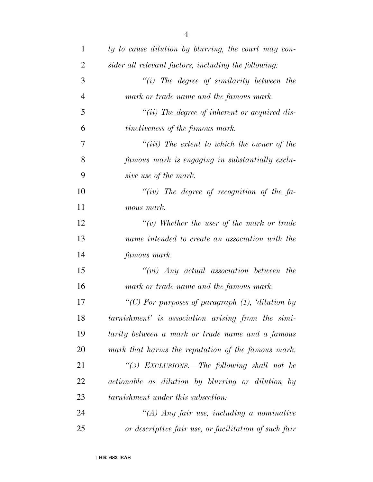| 1              | ly to cause dilution by blurring, the court may con-  |
|----------------|-------------------------------------------------------|
| $\overline{2}$ | sider all relevant factors, including the following:  |
| 3              | $``(i)$ The degree of similarity between the          |
| $\overline{4}$ | mark or trade name and the famous mark.               |
| 5              | "(ii) The degree of inherent or acquired dis-         |
| 6              | tinctiveness of the famous mark.                      |
| 7              | $``(iii)$ The extent to which the owner of the        |
| 8              | famous mark is engaging in substantially exclu-       |
| 9              | sive use of the mark.                                 |
| 10             | "(iv) The degree of recognition of the fa-            |
| 11             | mous mark.                                            |
| 12             | $\lq\lq(v)$ Whether the user of the mark or trade     |
| 13             | name intended to create an association with the       |
| 14             | famous mark.                                          |
| 15             | $``(vi)$ Any actual association between the           |
| 16             | mark or trade name and the famous mark.               |
| 17             | "(C) For purposes of paragraph $(1)$ , 'dilution by   |
| 18             | tarnishment' is association arising from the simi-    |
| 19             | larity between a mark or trade name and a famous      |
| <b>20</b>      | mark that harms the reputation of the famous mark.    |
| 21             | "(3) EXCLUSIONS.—The following shall not be           |
| 22             | actionable as dilution by blurring or dilution by     |
| 23             | tarnishment under this subsection:                    |
| 24             | "(A) Any fair use, including a nominative             |
| 25             | or descriptive fair use, or facilitation of such fair |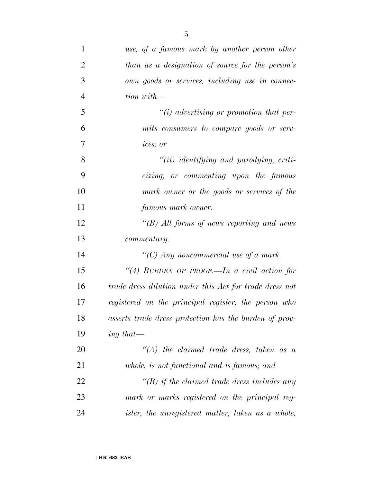| $\mathbf{1}$   | use, of a famous mark by another person other           |
|----------------|---------------------------------------------------------|
| $\overline{2}$ | than as a designation of source for the person's        |
| 3              | own goods or services, including use in connec-         |
| $\overline{4}$ | tion with-                                              |
| 5              | $\lq\lq(i)$ advertising or promotion that per-          |
| 6              | mits consumers to compare goods or serv-                |
| 7              | ices; or                                                |
| 8              | $``(ii)$ identifying and parodying, criti-              |
| 9              | cizing, or commenting upon the famous                   |
| 10             | mark owner or the goods or services of the              |
| 11             | <i>famous mark owner.</i>                               |
| 12             | "(B) All forms of news reporting and news               |
| 13             | commentary.                                             |
| 14             | "(C) Any noncommercial use of a mark.                   |
| 15             | "(4) BURDEN OF PROOF.—In a civil action for             |
| 16             | trade dress dilution under this Act for trade dress not |
| 17             | registered on the principal register, the person who    |
| 18             | asserts trade dress protection has the burden of prov-  |
| 19             | ing that—                                               |
| 20             | $\lq (A)$ the claimed trade dress, taken as a           |
| 21             | whole, is not functional and is famous; and             |
| 22             | $\lq\lq(B)$ if the claimed trade dress includes any     |
| 23             | mark or marks registered on the principal reg-          |
| 24             | ister, the unregistered matter, taken as a whole,       |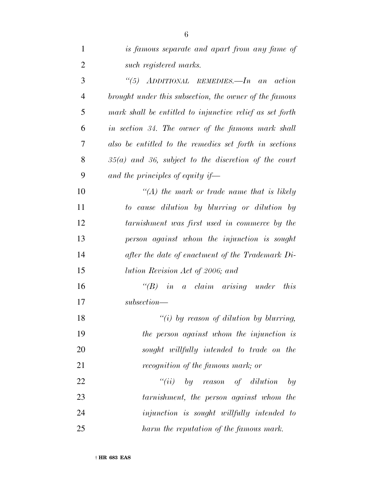| $\mathbf{1}$   | is famous separate and apart from any fame of            |
|----------------|----------------------------------------------------------|
| $\overline{2}$ | such registered marks.                                   |
| 3              | "(5) ADDITIONAL REMEDIES.—In an action                   |
| $\overline{4}$ | brought under this subsection, the owner of the famous   |
| 5              | mark shall be entitled to injunctive relief as set forth |
| 6              | in section 34. The owner of the famous mark shall        |
| $\overline{7}$ | also be entitled to the remedies set forth in sections   |
| 8              | $35(a)$ and 36, subject to the discretion of the court   |
| 9              | and the principles of equity if—                         |
| 10             | $\lq (A)$ the mark or trade name that is likely          |
| 11             | to cause dilution by blurring or dilution by             |
| 12             | tarnishment was first used in commerce by the            |
| 13             | person against whom the injunction is sought             |
| 14             | after the date of enactment of the Trademark Di-         |
| 15             | lution Revision Act of 2006; and                         |
| 16             | $\lq\lq B$ in a claim arising under<br>this              |
| 17             | subsection-                                              |
| 18             | "(i) by reason of dilution by blurring,                  |
| 19             | the person against whom the injunction is                |
| 20             | sought willfully intended to trade on the                |
| 21             | recognition of the famous mark; or                       |
| 22             | ``(ii)<br>by reason of dilution<br>by                    |
| 23             | tarnishment, the person against whom the                 |
| 24             | <i>injunction is sought willfully intended to</i>        |
| 25             | harm the reputation of the famous mark.                  |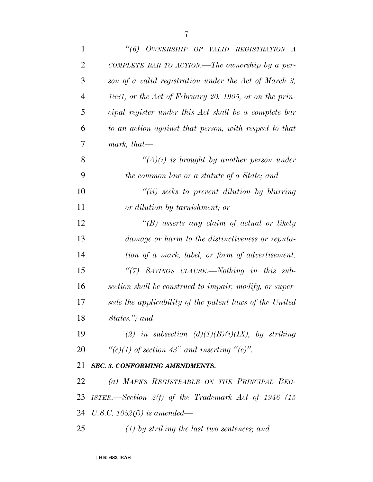| $\mathbf{1}$   | "(6) OWNERSHIP OF VALID REGISTRATION A                  |
|----------------|---------------------------------------------------------|
| $\overline{2}$ | COMPLETE BAR TO ACTION.—The ownership by a per-         |
| 3              | son of a valid registration under the Act of March 3,   |
| $\overline{4}$ | 1881, or the Act of February 20, 1905, or on the prin-  |
| 5              | cipal register under this Act shall be a complete bar   |
| 6              | to an action against that person, with respect to that  |
| 7              | mark, that—                                             |
| 8              | $\lq\lq (A)(i)$ is brought by another person under      |
| 9              | the common law or a statute of a State; and             |
| 10             | $``(ii)$ seeks to prevent dilution by blurring          |
| 11             | or dilution by tarnishment; or                          |
| 12             | "(B) asserts any claim of actual or likely              |
| 13             | damage or harm to the distinctiveness or reputa-        |
| 14             | tion of a mark, label, or form of advertisement.        |
| 15             | "(7) SAVINGS CLAUSE.—Nothing in this sub-               |
| 16             | section shall be construed to impair, modify, or super- |
| 17             | sede the applicability of the patent laws of the United |
| 18             | States."; and                                           |
| 19             | (2) in subsection $(d)(1)(B)(i)(IX)$ , by striking      |
| 20             | " $(c)(1)$ of section 43" and inserting " $(c)$ ".      |
| 21             | <b>SEC. 3. CONFORMING AMENDMENTS.</b>                   |
| 22             | (a) MARKS REGISTRABLE ON THE PRINCIPAL REG-             |
| 23             | ISTER.—Section $2(f)$ of the Trademark Act of 1946 (15  |
|                | 24 U.S.C. $1052(f)$ is amended—                         |
| 25             | $(1)$ by striking the last two sentences; and           |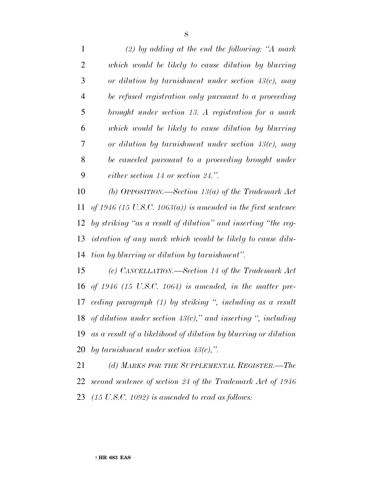*(2) by adding at the end the following: ''A mark which would be likely to cause dilution by blurring or dilution by tarnishment under section 43(c), may be refused registration only pursuant to a proceeding brought under section 13. A registration for a mark which would be likely to cause dilution by blurring or dilution by tarnishment under section 43(c), may be canceled pursuant to a proceeding brought under either section 14 or section 24.''.*

 *(b) OPPOSITION.—Section 13(a) of the Trademark Act of 1946 (15 U.S.C. 1063(a)) is amended in the first sentence by striking ''as a result of dilution'' and inserting ''the reg- istration of any mark which would be likely to cause dilu-tion by blurring or dilution by tarnishment''.*

 *(c) CANCELLATION.—Section 14 of the Trademark Act of 1946 (15 U.S.C. 1064) is amended, in the matter pre- ceding paragraph (1) by striking '', including as a result of dilution under section 43(c),'' and inserting '', including as a result of a likelihood of dilution by blurring or dilution by tarnishment under section 43(c),''.*

 *(d) MARKS FOR THE SUPPLEMENTAL REGISTER.—The second sentence of section 24 of the Trademark Act of 1946 (15 U.S.C. 1092) is amended to read as follows:*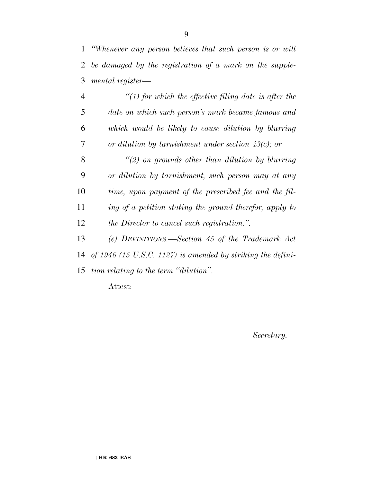*''Whenever any person believes that such person is or will be damaged by the registration of a mark on the supple-mental register—*

 *''(1) for which the effective filing date is after the date on which such person's mark became famous and which would be likely to cause dilution by blurring or dilution by tarnishment under section 43(c); or ''(2) on grounds other than dilution by blurring or dilution by tarnishment, such person may at any time, upon payment of the prescribed fee and the fil- ing of a petition stating the ground therefor, apply to the Director to cancel such registration.''. (e) DEFINITIONS.—Section 45 of the Trademark Act of 1946 (15 U.S.C. 1127) is amended by striking the defini-*

*tion relating to the term ''dilution''.*

Attest:

*Secretary.*